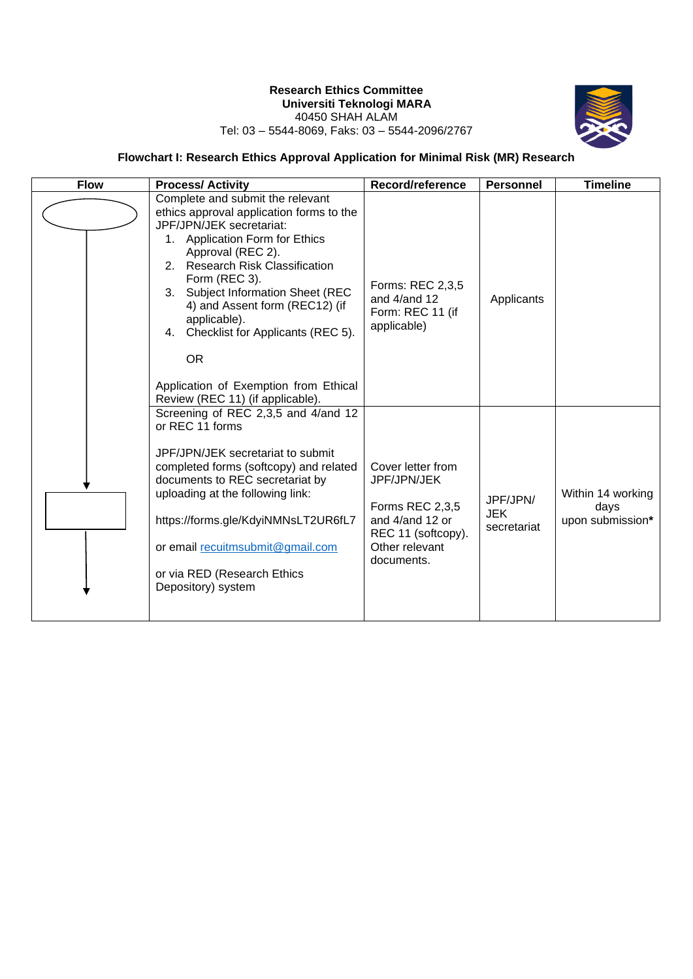## **Research Ethics Committee Universiti Teknologi MARA** 40450 SHAH ALAM



## Tel: 03 – 5544-8069, Faks: 03 – 5544-2096/2767

## **Flowchart I: Research Ethics Approval Application for Minimal Risk (MR) Research**

| <b>Flow</b> | <b>Process/Activity</b>                                                                                                                                                                                                                                                                                                                                                                                                                                   | Record/reference                                                                                                             | <b>Personnel</b>                      | <b>Timeline</b>                               |
|-------------|-----------------------------------------------------------------------------------------------------------------------------------------------------------------------------------------------------------------------------------------------------------------------------------------------------------------------------------------------------------------------------------------------------------------------------------------------------------|------------------------------------------------------------------------------------------------------------------------------|---------------------------------------|-----------------------------------------------|
|             | Complete and submit the relevant<br>ethics approval application forms to the<br>JPF/JPN/JEK secretariat:<br>1. Application Form for Ethics<br>Approval (REC 2).<br>2. Research Risk Classification<br>Form (REC 3).<br><b>Subject Information Sheet (REC</b><br>3.<br>4) and Assent form (REC12) (if<br>applicable).<br>Checklist for Applicants (REC 5).<br>4.<br><b>OR</b><br>Application of Exemption from Ethical<br>Review (REC 11) (if applicable). | Forms: REC 2,3,5<br>and $4/$ and 12<br>Form: REC 11 (if<br>applicable)                                                       | Applicants                            |                                               |
|             | Screening of REC 2,3,5 and 4/and 12<br>or REC 11 forms<br>JPF/JPN/JEK secretariat to submit<br>completed forms (softcopy) and related<br>documents to REC secretariat by<br>uploading at the following link:<br>https://forms.gle/KdyiNMNsLT2UR6fL7<br>or email recuitmsubmit@gmail.com<br>or via RED (Research Ethics<br>Depository) system                                                                                                              | Cover letter from<br>JPF/JPN/JEK<br>Forms REC 2,3,5<br>and 4/and 12 or<br>REC 11 (softcopy).<br>Other relevant<br>documents. | JPF/JPN/<br><b>JEK</b><br>secretariat | Within 14 working<br>days<br>upon submission* |